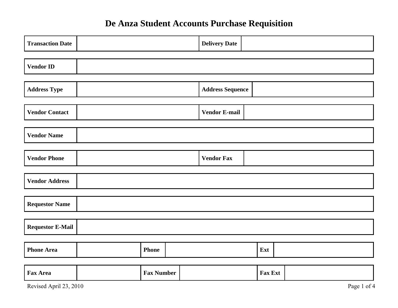# **De Anza Student Accounts Purchase Requisition**

| <b>Transaction Date</b> |  |                   | <b>Delivery Date</b>    |         |  |  |  |  |  |  |  |
|-------------------------|--|-------------------|-------------------------|---------|--|--|--|--|--|--|--|
| <b>Vendor ID</b>        |  |                   |                         |         |  |  |  |  |  |  |  |
|                         |  |                   |                         |         |  |  |  |  |  |  |  |
| <b>Address Type</b>     |  |                   | <b>Address Sequence</b> |         |  |  |  |  |  |  |  |
|                         |  |                   |                         |         |  |  |  |  |  |  |  |
| <b>Vendor Contact</b>   |  |                   | <b>Vendor E-mail</b>    |         |  |  |  |  |  |  |  |
|                         |  |                   |                         |         |  |  |  |  |  |  |  |
| <b>Vendor Name</b>      |  |                   |                         |         |  |  |  |  |  |  |  |
|                         |  |                   |                         |         |  |  |  |  |  |  |  |
| <b>Vendor Phone</b>     |  |                   | <b>Vendor Fax</b>       |         |  |  |  |  |  |  |  |
|                         |  |                   |                         |         |  |  |  |  |  |  |  |
| <b>Vendor Address</b>   |  |                   |                         |         |  |  |  |  |  |  |  |
|                         |  |                   |                         |         |  |  |  |  |  |  |  |
| <b>Requestor Name</b>   |  |                   |                         |         |  |  |  |  |  |  |  |
|                         |  |                   |                         |         |  |  |  |  |  |  |  |
| <b>Requestor E-Mail</b> |  |                   |                         |         |  |  |  |  |  |  |  |
|                         |  |                   |                         |         |  |  |  |  |  |  |  |
| <b>Phone Area</b>       |  | <b>Phone</b>      |                         | Ext     |  |  |  |  |  |  |  |
|                         |  |                   |                         |         |  |  |  |  |  |  |  |
| <b>Fax Area</b>         |  | <b>Fax Number</b> |                         | Fax Ext |  |  |  |  |  |  |  |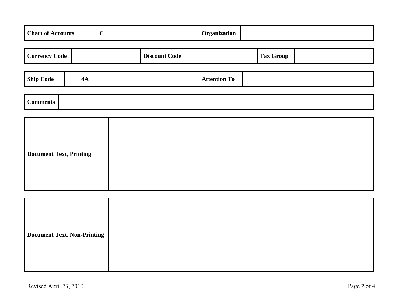| <b>Chart of Accounts</b> | $\mathbf C$ |                      | Organization        |  |                  |  |
|--------------------------|-------------|----------------------|---------------------|--|------------------|--|
| <b>Currency Code</b>     |             | <b>Discount Code</b> |                     |  | <b>Tax Group</b> |  |
| <b>Ship Code</b>         | 4A          |                      | <b>Attention To</b> |  |                  |  |
| <b>Comments</b>          |             |                      |                     |  |                  |  |

| <b>Document Text, Printing</b> |
|--------------------------------|
|--------------------------------|

| Document Text, Non-Printing |  |
|-----------------------------|--|
|                             |  |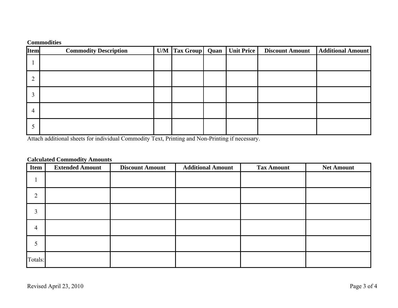#### **Commodities**

| <b>Item</b> | <b>Commodity Description</b> | U/M   Tax Group   Quan   Unit Price |  | <b>Discount Amount</b> | <b>Additional Amount</b> |
|-------------|------------------------------|-------------------------------------|--|------------------------|--------------------------|
|             |                              |                                     |  |                        |                          |
|             |                              |                                     |  |                        |                          |
|             |                              |                                     |  |                        |                          |
| 4           |                              |                                     |  |                        |                          |
|             |                              |                                     |  |                        |                          |

Attach additional sheets for individual Commodity Text, Printing and Non-Printing if necessary.

## **Calculated Commodity Amounts**

| <b>Item</b>    | <b>Extended Amount</b> | <b>Discount Amount</b> | <b>Additional Amount</b> | <b>Tax Amount</b> | <b>Net Amount</b> |
|----------------|------------------------|------------------------|--------------------------|-------------------|-------------------|
|                |                        |                        |                          |                   |                   |
| $\overline{2}$ |                        |                        |                          |                   |                   |
| 3              |                        |                        |                          |                   |                   |
| $\overline{4}$ |                        |                        |                          |                   |                   |
| $\mathcal{D}$  |                        |                        |                          |                   |                   |
| Totals:        |                        |                        |                          |                   |                   |